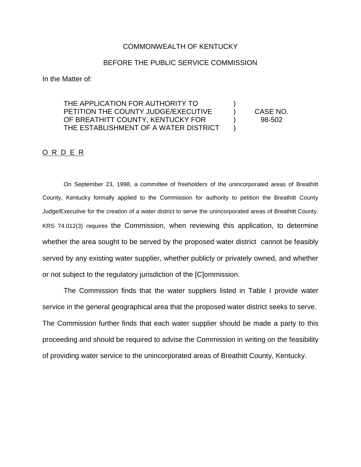### COMMONWEALTH OF KENTUCKY

### BEFORE THE PUBLIC SERVICE COMMISSION

In the Matter of:

# THE APPLICATION FOR AUTHORITY TO ) PETITION THE COUNTY JUDGE/EXECUTIVE ) CASE NO. OF BREATHITT COUNTY, KENTUCKY FOR (98-502 THE ESTABLISHMENT OF A WATER DISTRICT )

## O R D E R

On September 23, 1998, a committee of freeholders of the unincorporated areas of Breathitt County, Kentucky formally applied to the Commission for authority to petition the Breathitt County Judge/Executive for the creation of a water district to serve the unincorporated areas of Breathitt County. KRS 74.012(3) requires the Commission, when reviewing this application, to determine whether the area sought to be served by the proposed water district cannot be feasibly served by any existing water supplier, whether publicly or privately owned, and whether or not subject to the regulatory jurisdiction of the [C]ommission.

The Commission finds that the water suppliers listed in Table I provide water service in the general geographical area that the proposed water district seeks to serve. The Commission further finds that each water supplier should be made a party to this proceeding and should be required to advise the Commission in writing on the feasibility of providing water service to the unincorporated areas of Breathitt County, Kentucky.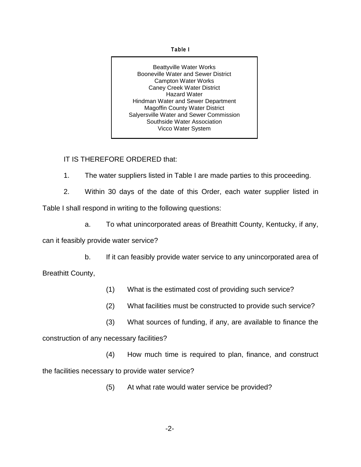#### **Table I**

Beattyville Water Works Booneville Water and Sewer District Campton Water Works Caney Creek Water District Hazard Water Hindman Water and Sewer Department Magoffin County Water District Salyersville Water and Sewer Commission Southside Water Association Vicco Water System

# IT IS THEREFORE ORDERED that:

- 1. The water suppliers listed in Table I are made parties to this proceeding.
- 2. Within 30 days of the date of this Order, each water supplier listed in

Table I shall respond in writing to the following questions:

a. To what unincorporated areas of Breathitt County, Kentucky, if any,

can it feasibly provide water service?

b. If it can feasibly provide water service to any unincorporated area of Breathitt County,

- (1) What is the estimated cost of providing such service?
- (2) What facilities must be constructed to provide such service?
- (3) What sources of funding, if any, are available to finance the

construction of any necessary facilities?

(4) How much time is required to plan, finance, and construct the facilities necessary to provide water service?

(5) At what rate would water service be provided?